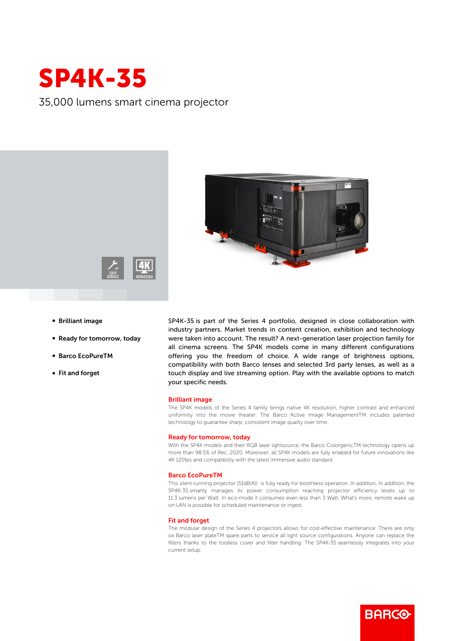

35,000 lumens smart cinema projector



- **Brilliant image**
- Ready for tomorrow, today
- b Barco EcoPureTM
- Fit and forget

SP4K-35 is part of the Series 4 portfolio, designed in close collaboration with industry partners. Market trends in content creation, exhibition and technology were taken into account. The result? A next-generation laser projection family for all cinema screens. The SP4K models come in many different configurations offering you the freedom of choice. A wide range of brightness options, compatibility with both Barco lenses and selected 3rd party lenses, as well as a touch display and live streaming option. Play with the available options to match your specific needs.

## Brilliant image

The SP4K models of the Series 4 family brings native 4K resolution, higher contrast and enhanced uniformity into the movie theater. The Barco Active Image ManagementTM includes patented technology to guarantee sharp, consistent image quality over time.

## Ready for tomorrow, today

With the SP4K models and their RGB laser lightsource, the Barco ColorgenicTM technology opens up more than 98.5% of Rec. 2020. Moreover, all SP4K models are fully enabled for future innovations like 4K 120fps and compatibility with the latest immersive audio standard.

#### Barco EcoPureTM

This silent running projector (51dB(A)) is fully ready for boothless operation. In addition, In addition, the SP4K-35 smartly manages its power consumption reaching projector efficiency levels up to 11.3 lumens per Watt. In eco-mode it consumes even less than 3 Watt. What's more, remote wake up on LAN is possible for scheduled maintenance or ingest.

## Fit and forget

The modular design of the Series 4 projectors allows for cost-effective maintenance. There are only six Barco laser plateTM spare parts to service all light source configurations. Anyone can replace the filters thanks to the toolless cover and filter handling. The SP4K-35 seamlessly integrates into your current setup.

**BARGO**